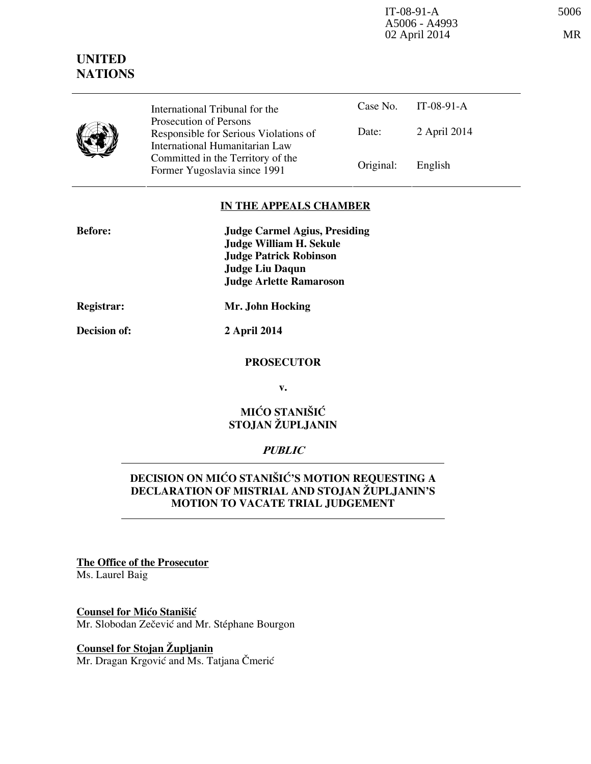IT-08-91-A 5006 A5006 - A4993 02 April 2014 MR

|  | International Tribunal for the                                                                    |           | Case No. IT-08-91-A |
|--|---------------------------------------------------------------------------------------------------|-----------|---------------------|
|  | Prosecution of Persons<br>Responsible for Serious Violations of<br>International Humanitarian Law | Date:     | 2 April 2014        |
|  | Committed in the Territory of the<br>Former Yugoslavia since 1991                                 | Original: | English             |

### **IN THE APPEALS CHAMBER**

| <b>Before:</b> | <b>Judge Carmel Agius, Presiding</b> |
|----------------|--------------------------------------|
|                | Judge William H. Sekule              |
|                | <b>Judge Patrick Robinson</b>        |
|                | <b>Judge Liu Daqun</b>               |
|                | <b>Judge Arlette Ramaroson</b>       |
|                |                                      |

**Registrar: Mr. John Hocking** 

**Decision of: 2 April 2014** 

#### **PROSECUTOR**

**v.** 

# **MIĆO STANIŠIĆ STOJAN ŽUPLJANIN**

### **PUBLIC**

## **DECISION ON MIĆO STANIŠIĆ'S MOTION REQUESTING A DECLARATION OF MISTRIAL AND STOJAN ŽUPLJANIN'S MOTION TO VACATE TRIAL JUDGEMENT**

**The Office of the Prosecutor** Ms. Laurel Baig

### **Counsel for Mićo Stanišić** Mr. Slobodan Zečević and Mr. Stéphane Bourgon

**Counsel for Stojan Župljanin** Mr. Dragan Krgović and Ms. Tatjana Čmerić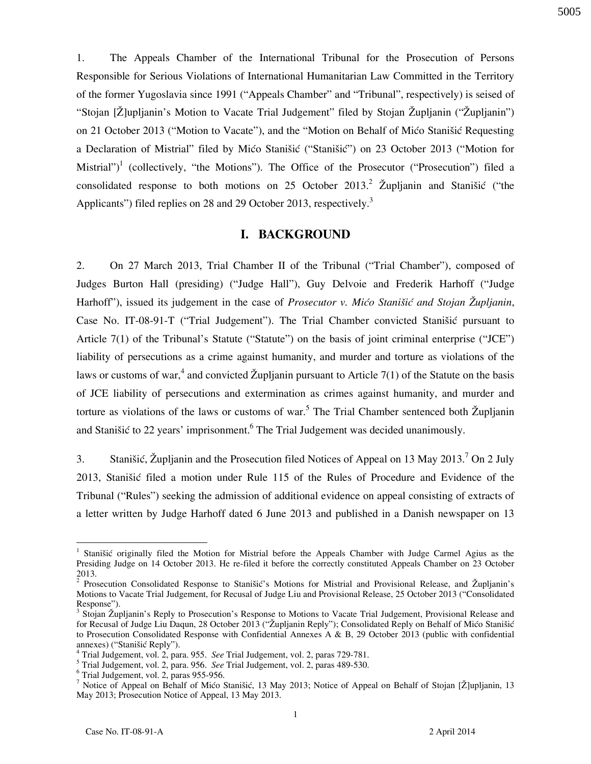1. The Appeals Chamber of the International Tribunal for the Prosecution of Persons Responsible for Serious Violations of International Humanitarian Law Committed in the Territory of the former Yugoslavia since 1991 ("Appeals Chamber" and "Tribunal", respectively) is seised of "Stojan [Ž]upljanin's Motion to Vacate Trial Judgement" filed by Stojan Župljanin ("Župljanin") on 21 October 2013 ("Motion to Vacate"), and the "Motion on Behalf of Mico Stanišic Requesting a Declaration of Mistrial" filed by Mićo Stanišić ("Stanišić") on 23 October 2013 ("Motion for Mistrial")<sup>1</sup> (collectively, "the Motions"). The Office of the Prosecutor ("Prosecution") filed a consolidated response to both motions on 25 October 2013.<sup>2</sup> Župljanin and Stanišić ("the Applicants") filed replies on 28 and 29 October 2013, respectively.<sup>3</sup>

### **I. BACKGROUND**

2. On 27 March 2013, Trial Chamber II of the Tribunal ("Trial Chamber"), composed of Judges Burton Hall (presiding) ("Judge Hall"), Guy Delvoie and Frederik Harhoff ("Judge Harhoff"), issued its judgement in the case of *Prosecutor v. Mićo Stanišić and Stojan Župljanin*, Case No. IT-08-91-T ("Trial Judgement"). The Trial Chamber convicted Stanišić pursuant to Article 7(1) of the Tribunal's Statute ("Statute") on the basis of joint criminal enterprise ("JCE") liability of persecutions as a crime against humanity, and murder and torture as violations of the laws or customs of war,<sup>4</sup> and convicted Župljanin pursuant to Article 7(1) of the Statute on the basis of JCE liability of persecutions and extermination as crimes against humanity, and murder and torture as violations of the laws or customs of war.<sup>5</sup> The Trial Chamber sentenced both Župljanin and Stanišić to 22 years' imprisonment. <sup>6</sup> The Trial Judgement was decided unanimously.

3. Stanišić, Župljanin and the Prosecution filed Notices of Appeal on 13 May 2013.<sup>7</sup> On 2 July 2013, Stanišić filed a motion under Rule 115 of the Rules of Procedure and Evidence of the Tribunal ("Rules") seeking the admission of additional evidence on appeal consisting of extracts of a letter written by Judge Harhoff dated 6 June 2013 and published in a Danish newspaper on 13

<sup>&</sup>lt;sup>1</sup> Stanišić originally filed the Motion for Mistrial before the Appeals Chamber with Judge Carmel Agius as the Presiding Judge on 14 October 2013. He re-filed it before the correctly constituted Appeals Chamber on 23 October 2013.

<sup>&</sup>lt;sup>2</sup> Prosecution Consolidated Response to Stanišić's Motions for Mistrial and Provisional Release, and Župljanin's Motions to Vacate Trial Judgement, for Recusal of Judge Liu and Provisional Release, 25 October 2013 ("Consolidated Response").

<sup>&</sup>lt;sup>3</sup> Stojan Župljanin's Reply to Prosecution's Response to Motions to Vacate Trial Judgement, Provisional Release and for Recusal of Judge Liu Daqun, 28 October 2013 ("Župljanin Reply"); Consolidated Reply on Behalf of Mićo Stanišić to Prosecution Consolidated Response with Confidential Annexes A & B, 29 October 2013 (public with confidential annexes) ("Stanišić Reply").

<sup>4</sup> Trial Judgement, vol. 2, para. 955. *See* Trial Judgement, vol. 2, paras 729-781.

<sup>5</sup> Trial Judgement, vol. 2, para. 956. *See* Trial Judgement, vol. 2, paras 489-530.

<sup>6</sup> Trial Judgement, vol. 2, paras 955-956.

<sup>&</sup>lt;sup>7</sup> Notice of Appeal on Behalf of Mićo Stanišić, 13 May 2013; Notice of Appeal on Behalf of Stojan [Ž]upljanin, 13 May 2013; Prosecution Notice of Appeal, 13 May 2013.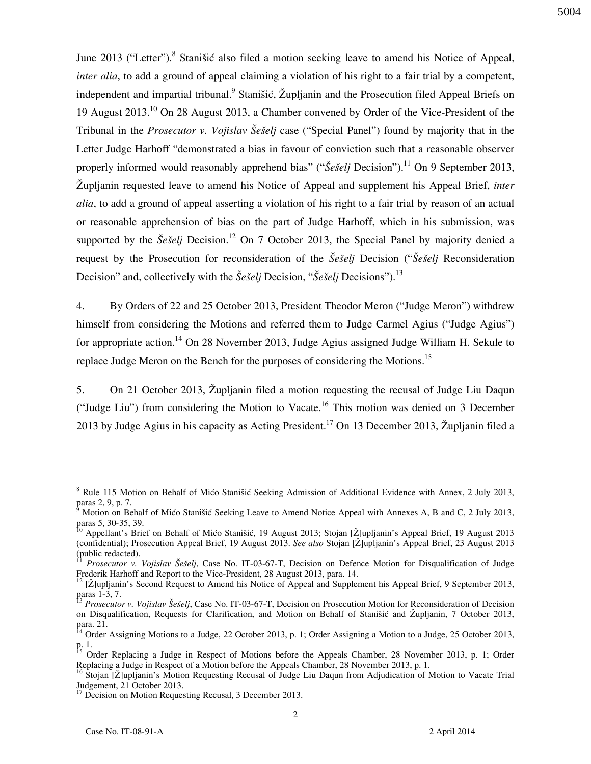June 2013 ("Letter").<sup>8</sup> Stanišić also filed a motion seeking leave to amend his Notice of Appeal, *inter alia*, to add a ground of appeal claiming a violation of his right to a fair trial by a competent, independent and impartial tribunal.<sup>9</sup> Stanišić, Župljanin and the Prosecution filed Appeal Briefs on 19 August 2013.<sup>10</sup> On 28 August 2013, a Chamber convened by Order of the Vice-President of the Tribunal in the *Prosecutor v. Vojislav Šešelj* case ("Special Panel") found by majority that in the Letter Judge Harhoff "demonstrated a bias in favour of conviction such that a reasonable observer properly informed would reasonably apprehend bias" (" $\check{S}e\check{s}elj$  Decision").<sup>11</sup> On 9 September 2013, Župljanin requested leave to amend his Notice of Appeal and supplement his Appeal Brief, *inter alia*, to add a ground of appeal asserting a violation of his right to a fair trial by reason of an actual or reasonable apprehension of bias on the part of Judge Harhoff, which in his submission, was supported by the  $\check{S}e\check{S}elj$  Decision.<sup>12</sup> On 7 October 2013, the Special Panel by majority denied a request by the Prosecution for reconsideration of the *Šešeli* Decision ("*Šešeli* Reconsideration Decision" and, collectively with the *Šešelj* Decision, "*Šešelj* Decisions").<sup>13</sup>

4. By Orders of 22 and 25 October 2013, President Theodor Meron ("Judge Meron") withdrew himself from considering the Motions and referred them to Judge Carmel Agius ("Judge Agius") for appropriate action.<sup>14</sup> On 28 November 2013, Judge Agius assigned Judge William H. Sekule to replace Judge Meron on the Bench for the purposes of considering the Motions.<sup>15</sup>

5. On 21 October 2013, Župljanin filed a motion requesting the recusal of Judge Liu Daqun ("Judge Liu") from considering the Motion to Vacate. <sup>16</sup> This motion was denied on 3 December 2013 by Judge Agius in his capacity as Acting President.<sup>17</sup> On 13 December 2013, Župljanin filed a

<sup>&</sup>lt;sup>8</sup> Rule 115 Motion on Behalf of Mićo Stanišić Seeking Admission of Additional Evidence with Annex, 2 July 2013, paras 2, 9, p. 7.

<sup>9</sup> Motion on Behalf of Mićo Stanišić Seeking Leave to Amend Notice Appeal with Annexes A, B and C, 2 July 2013, paras 5, 30-35, 39.

Appellant's Brief on Behalf of Mićo Stanišić, 19 August 2013; Stojan [Ž]upljanin's Appeal Brief, 19 August 2013 (confidential); Prosecution Appeal Brief, 19 August 2013. See also Stojan [Ž]upljanin's Appeal Brief, 23 August 2013 (public redacted).

<sup>11</sup> *Prosecutor v. Vojislav Še{elj*, Case No. IT-03-67-T, Decision on Defence Motion for Disqualification of Judge Frederik Harhoff and Report to the Vice-President, 28 August 2013, para. 14.

 $12$  [Ž]upljanin's Second Request to Amend his Notice of Appeal and Supplement his Appeal Brief, 9 September 2013, paras 1-3, 7.

*Prosecutor v. Vojislav Šešelj*, Case No. IT-03-67-T, Decision on Prosecution Motion for Reconsideration of Decision on Disqualification, Requests for Clarification, and Motion on Behalf of Stanišić and Župljanin, 7 October 2013, para. 21.

<sup>&</sup>lt;sup>14</sup> Order Assigning Motions to a Judge, 22 October 2013, p. 1; Order Assigning a Motion to a Judge, 25 October 2013, p. 1.

<sup>&</sup>lt;sup>15</sup> Order Replacing a Judge in Respect of Motions before the Appeals Chamber, 28 November 2013, p. 1; Order Replacing a Judge in Respect of a Motion before the Appeals Chamber, 28 November 2013, p. 1.

<sup>&</sup>lt;sup>16</sup> Stojan [Ž]upljanin's Motion Requesting Recusal of Judge Liu Daqun from Adjudication of Motion to Vacate Trial Judgement, 21 October 2013.

<sup>&</sup>lt;sup>17</sup> Decision on Motion Requesting Recusal, 3 December 2013.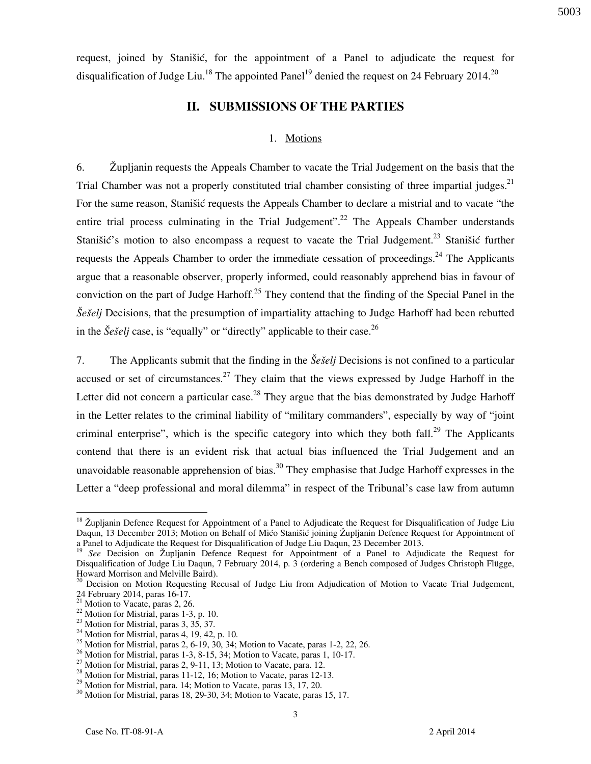request, joined by Stanišić, for the appointment of a Panel to adjudicate the request for disqualification of Judge Liu.<sup>18</sup> The appointed Panel<sup>19</sup> denied the request on 24 February 2014.<sup>20</sup>

### **II. SUBMISSIONS OF THE PARTIES**

#### 1. Motions

6. Župljanin requests the Appeals Chamber to vacate the Trial Judgement on the basis that the Trial Chamber was not a properly constituted trial chamber consisting of three impartial judges.<sup>21</sup> For the same reason, Stanišić requests the Appeals Chamber to declare a mistrial and to vacate "the entire trial process culminating in the Trial Judgement".<sup>22</sup> The Appeals Chamber understands Stanišić's motion to also encompass a request to vacate the Trial Judgement.<sup>23</sup> Stanišić further requests the Appeals Chamber to order the immediate cessation of proceedings.<sup>24</sup> The Applicants argue that a reasonable observer, properly informed, could reasonably apprehend bias in favour of conviction on the part of Judge Harhoff.<sup>25</sup> They contend that the finding of the Special Panel in the *Šešelj* Decisions, that the presumption of impartiality attaching to Judge Harhoff had been rebutted in the  $\check{S}e\check{s}elj$  case, is "equally" or "directly" applicable to their case.<sup>26</sup>

7. The Applicants submit that the finding in the *Šešelj* Decisions is not confined to a particular accused or set of circumstances.<sup>27</sup> They claim that the views expressed by Judge Harhoff in the Letter did not concern a particular case.<sup>28</sup> They argue that the bias demonstrated by Judge Harhoff in the Letter relates to the criminal liability of "military commanders", especially by way of "joint criminal enterprise", which is the specific category into which they both fall.<sup>29</sup> The Applicants contend that there is an evident risk that actual bias influenced the Trial Judgement and an unavoidable reasonable apprehension of bias.<sup>30</sup> They emphasise that Judge Harhoff expresses in the Letter a "deep professional and moral dilemma" in respect of the Tribunal's case law from autumn

 $18$  Župljanin Defence Request for Appointment of a Panel to Adjudicate the Request for Disqualification of Judge Liu Daqun, 13 December 2013; Motion on Behalf of Mićo Stanišić joining Župljanin Defence Request for Appointment of a Panel to Adjudicate the Request for Disqualification of Judge Liu Daqun, 23 December 2013.

<sup>&</sup>lt;sup>19</sup> See Decision on Župljanin Defence Request for Appointment of a Panel to Adjudicate the Request for Disqualification of Judge Liu Daqun, 7 February 2014, p. 3 (ordering a Bench composed of Judges Christoph Flügge, Howard Morrison and Melville Baird).

<sup>&</sup>lt;sup>20</sup> Decision on Motion Requesting Recusal of Judge Liu from Adjudication of Motion to Vacate Trial Judgement, 24 February 2014, paras 16-17.

 $21$  Motion to Vacate, paras 2, 26.

 $22$  Motion for Mistrial, paras 1-3, p. 10.

<sup>23</sup> Motion for Mistrial, paras 3, 35, 37.

 $^{24}$  Motion for Mistrial, paras 4, 19, 42, p. 10.

<sup>&</sup>lt;sup>25</sup> Motion for Mistrial, paras 2, 6-19, 30, 34; Motion to Vacate, paras 1-2, 22, 26.

 $26$  Motion for Mistrial, paras 1-3, 8-15, 34; Motion to Vacate, paras 1, 10-17.

<sup>&</sup>lt;sup>27</sup> Motion for Mistrial, paras 2, 9-11, 13; Motion to Vacate, para. 12.

<sup>&</sup>lt;sup>28</sup> Motion for Mistrial, paras 11-12, 16; Motion to Vacate, paras 12-13.

<sup>&</sup>lt;sup>29</sup> Motion for Mistrial, para. 14; Motion to Vacate, paras 13, 17, 20.

<sup>&</sup>lt;sup>30</sup> Motion for Mistrial, paras 18, 29-30, 34; Motion to Vacate, paras 15, 17.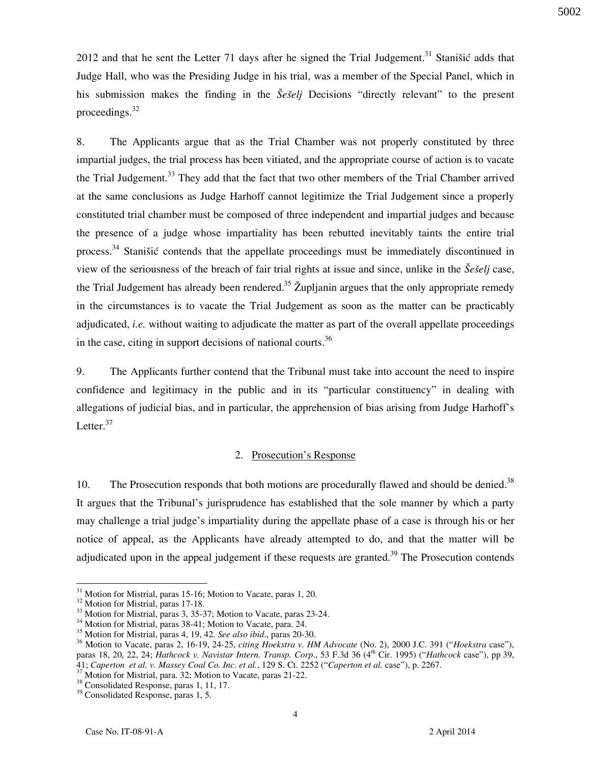2012 and that he sent the Letter 71 days after he signed the Trial Judgement.<sup>31</sup> Stanistic adds that Judge Hall, who was the Presiding Judge in his trial, was a member of the Special Panel, which in his submission makes the finding in the *Šešelj* Decisions "directly relevant" to the present proceedings. $32$ 

8. The Applicants argue that as the Trial Chamber was not properly constituted by three impartial judges, the trial process has been vitiated, and the appropriate course of action is to vacate the Trial Judgement.<sup>33</sup> They add that the fact that two other members of the Trial Chamber arrived at the same conclusions as Judge Harhoff cannot legitimize the Trial Judgement since a properly constituted trial chamber must be composed of three independent and impartial judges and because the presence of a judge whose impartiality has been rebutted inevitably taints the entire trial process.<sup>34</sup> Stanišić contends that the appellate proceedings must be immediately discontinued in view of the seriousness of the breach of fair trial rights at issue and since, unlike in the *Šešelj* case, the Trial Judgement has already been rendered.<sup>35</sup> Župljanin argues that the only appropriate remedy in the circumstances is to vacate the Trial Judgement as soon as the matter can be practicably adjudicated, *i.e.* without waiting to adjudicate the matter as part of the overall appellate proceedings in the case, citing in support decisions of national courts.<sup>36</sup>

9. The Applicants further contend that the Tribunal must take into account the need to inspire confidence and legitimacy in the public and in its "particular constituency" in dealing with allegations of judicial bias, and in particular, the apprehension of bias arising from Judge Harhoff's Letter. $37$ 

#### 2. Prosecution's Response

10. The Prosecution responds that both motions are procedurally flawed and should be denied.<sup>38</sup> It argues that the Tribunal's jurisprudence has established that the sole manner by which a party may challenge a trial judge's impartiality during the appellate phase of a case is through his or her notice of appeal, as the Applicants have already attempted to do, and that the matter will be adjudicated upon in the appeal judgement if these requests are granted.<sup>39</sup> The Prosecution contends

 $\overline{a}$ <sup>31</sup> Motion for Mistrial, paras 15-16; Motion to Vacate, paras 1, 20.

<sup>&</sup>lt;sup>32</sup> Motion for Mistrial, paras 17-18.

<sup>&</sup>lt;sup>33</sup> Motion for Mistrial, paras 3, 35-37; Motion to Vacate, paras 23-24.

<sup>&</sup>lt;sup>34</sup> Motion for Mistrial, paras 38-41; Motion to Vacate, para. 24.

<sup>35</sup> Motion for Mistrial, paras 4, 19, 42. *See also ibid*., paras 20-30.

<sup>36</sup> Motion to Vacate, paras 2, 16-19, 24-25, *citing Hoekstra v. HM Advocate* (No. 2), 2000 J.C. 391 ("*Hoekstra* case"), paras 18, 20, 22, 24; *Hathcock v. Navistar Intern. Transp. Corp*., 53 F.3d 36 (4th Cir. 1995) ("*Hathcock* case"), pp 39, 41; *Caperton et al. v. Massey Coal Co. Inc. et al.*, 129 S. Ct. 2252 ("*Caperton et al.* case"), p. 2267.

<sup>&</sup>lt;sup>37</sup> Motion for Mistrial, para. 32; Motion to Vacate, paras 21-22.

<sup>&</sup>lt;sup>38</sup> Consolidated Response, paras 1, 11, 17.

<sup>39</sup> Consolidated Response, paras 1, 5.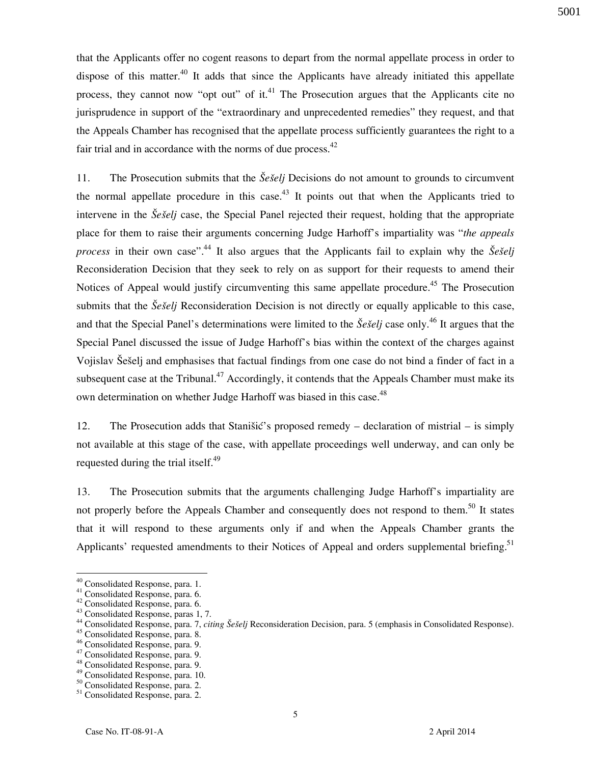that the Applicants offer no cogent reasons to depart from the normal appellate process in order to dispose of this matter.<sup>40</sup> It adds that since the Applicants have already initiated this appellate process, they cannot now "opt out" of it.<sup>41</sup> The Prosecution argues that the Applicants cite no jurisprudence in support of the "extraordinary and unprecedented remedies" they request, and that the Appeals Chamber has recognised that the appellate process sufficiently guarantees the right to a fair trial and in accordance with the norms of due process. $42$ 

11. The Prosecution submits that the *Še{elj* Decisions do not amount to grounds to circumvent the normal appellate procedure in this case.<sup>43</sup> It points out that when the Applicants tried to intervene in the *Šešelj* case, the Special Panel rejected their request, holding that the appropriate place for them to raise their arguments concerning Judge Harhoff's impartiality was "*the appeals process* in their own case".<sup>44</sup> It also argues that the Applicants fail to explain why the  $\check{S}e\check{S}elj$ Reconsideration Decision that they seek to rely on as support for their requests to amend their Notices of Appeal would justify circumventing this same appellate procedure.<sup>45</sup> The Prosecution submits that the *Šešelj* Reconsideration Decision is not directly or equally applicable to this case, and that the Special Panel's determinations were limited to the *Šešelj* case only.<sup>46</sup> It argues that the Special Panel discussed the issue of Judge Harhoff's bias within the context of the charges against Vojislav Šešelj and emphasises that factual findings from one case do not bind a finder of fact in a subsequent case at the Tribunal.<sup>47</sup> Accordingly, it contends that the Appeals Chamber must make its own determination on whether Judge Harhoff was biased in this case.<sup>48</sup>

12. The Prosecution adds that Stanišić's proposed remedy – declaration of mistrial – is simply not available at this stage of the case, with appellate proceedings well underway, and can only be requested during the trial itself. $49$ 

13. The Prosecution submits that the arguments challenging Judge Harhoff's impartiality are not properly before the Appeals Chamber and consequently does not respond to them.<sup>50</sup> It states that it will respond to these arguments only if and when the Appeals Chamber grants the Applicants' requested amendments to their Notices of Appeal and orders supplemental briefing.<sup>51</sup>

<sup>&</sup>lt;sup>40</sup> Consolidated Response, para. 1.

<sup>41</sup> Consolidated Response, para. 6.

<sup>42</sup> Consolidated Response, para. 6.

<sup>43</sup> Consolidated Response, paras 1, 7.

<sup>&</sup>lt;sup>44</sup> Consolidated Response, para. 7, *citing Šešelj* Reconsideration Decision, para. 5 (emphasis in Consolidated Response).

<sup>45</sup> Consolidated Response, para. 8.

<sup>46</sup> Consolidated Response, para. 9.

<sup>&</sup>lt;sup>47</sup> Consolidated Response, para. 9.

<sup>48</sup> Consolidated Response, para. 9.

<sup>49</sup> Consolidated Response, para. 10.

<sup>&</sup>lt;sup>50</sup> Consolidated Response, para. 2.

<sup>51</sup> Consolidated Response, para. 2.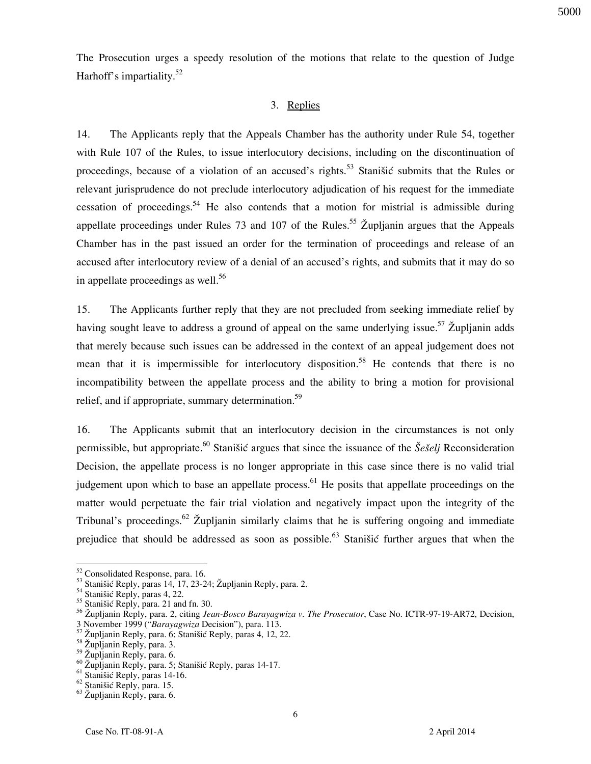The Prosecution urges a speedy resolution of the motions that relate to the question of Judge Harhoff's impartiality.<sup>52</sup>

### 3. Replies

14. The Applicants reply that the Appeals Chamber has the authority under Rule 54, together with Rule 107 of the Rules, to issue interlocutory decisions, including on the discontinuation of proceedings, because of a violation of an accused's rights.<sup>53</sup> Stanišić submits that the Rules or relevant jurisprudence do not preclude interlocutory adjudication of his request for the immediate cessation of proceedings.<sup>54</sup> He also contends that a motion for mistrial is admissible during appellate proceedings under Rules 73 and 107 of the Rules.<sup>55</sup> Župljanin argues that the Appeals Chamber has in the past issued an order for the termination of proceedings and release of an accused after interlocutory review of a denial of an accused's rights, and submits that it may do so in appellate proceedings as well.<sup>56</sup>

15. The Applicants further reply that they are not precluded from seeking immediate relief by having sought leave to address a ground of appeal on the same underlying issue.<sup>57</sup> Župljanin adds that merely because such issues can be addressed in the context of an appeal judgement does not mean that it is impermissible for interlocutory disposition.<sup>58</sup> He contends that there is no incompatibility between the appellate process and the ability to bring a motion for provisional relief, and if appropriate, summary determination.<sup>59</sup>

16. The Applicants submit that an interlocutory decision in the circumstances is not only permissible, but appropriate.<sup>60</sup> Stanišić argues that since the issuance of the *Šešelj* Reconsideration Decision, the appellate process is no longer appropriate in this case since there is no valid trial judgement upon which to base an appellate process.<sup>61</sup> He posits that appellate proceedings on the matter would perpetuate the fair trial violation and negatively impact upon the integrity of the Tribunal's proceedings.<sup>62</sup> Župljanin similarly claims that he is suffering ongoing and immediate prejudice that should be addressed as soon as possible.<sup>63</sup> Stanišić further argues that when the

<sup>&</sup>lt;sup>52</sup> Consolidated Response, para. 16.

<sup>53</sup> Stanišić Reply, paras 14, 17, 23-24; Župljanin Reply, para. 2.

<sup>&</sup>lt;sup>54</sup> Stanišić Reply, paras 4, 22.

<sup>&</sup>lt;sup>55</sup> Stanišić Reply, para. 21 and fn. 30.

<sup>56</sup> Župljanin Reply, para. 2, citing *Jean-Bosco Barayagwiza v. The Prosecutor*, Case No. ICTR-97-19-AR72, Decision, 3 November 1999 ("*Barayagwiza* Decision"), para. 113.

Župljanin Reply, para. 6; Stanišić Reply, paras 4, 12, 22.

<sup>&</sup>lt;sup>58</sup> Župljanin Reply, para. 3.

<sup>59</sup> Župljanin Reply, para. 6.

<sup>&</sup>lt;sup>60</sup> Župljanin Reply, para. 5; Stanišić Reply, paras 14-17.

 $61$  Stanišić Reply, paras 14-16.

<sup>&</sup>lt;sup>62</sup> Stanišić Reply, para. 15.

<sup>63</sup> Župljanin Reply, para. 6.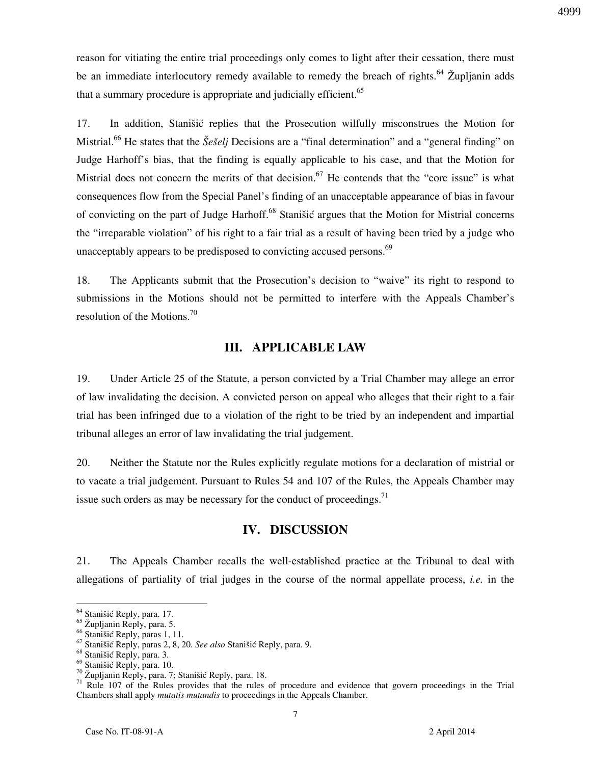reason for vitiating the entire trial proceedings only comes to light after their cessation, there must be an immediate interlocutory remedy available to remedy the breach of rights.<sup>64</sup> Župljanin adds that a summary procedure is appropriate and judicially efficient.<sup>65</sup>

17. In addition, Stanišić replies that the Prosecution wilfully misconstrues the Motion for Mistrial.<sup>66</sup> He states that the *Šešelj* Decisions are a "final determination" and a "general finding" on Judge Harhoff's bias, that the finding is equally applicable to his case, and that the Motion for Mistrial does not concern the merits of that decision.<sup>67</sup> He contends that the "core issue" is what consequences flow from the Special Panel's finding of an unacceptable appearance of bias in favour of convicting on the part of Judge Harhoff.<sup>68</sup> Stanišić argues that the Motion for Mistrial concerns the "irreparable violation" of his right to a fair trial as a result of having been tried by a judge who unacceptably appears to be predisposed to convicting accused persons. $69$ 

18. The Applicants submit that the Prosecution's decision to "waive" its right to respond to submissions in the Motions should not be permitted to interfere with the Appeals Chamber's resolution of the Motions.<sup>70</sup>

### **III. APPLICABLE LAW**

19. Under Article 25 of the Statute, a person convicted by a Trial Chamber may allege an error of law invalidating the decision. A convicted person on appeal who alleges that their right to a fair trial has been infringed due to a violation of the right to be tried by an independent and impartial tribunal alleges an error of law invalidating the trial judgement.

20. Neither the Statute nor the Rules explicitly regulate motions for a declaration of mistrial or to vacate a trial judgement. Pursuant to Rules 54 and 107 of the Rules, the Appeals Chamber may issue such orders as may be necessary for the conduct of proceedings.<sup>71</sup>

## **IV. DISCUSSION**

21. The Appeals Chamber recalls the well-established practice at the Tribunal to deal with allegations of partiality of trial judges in the course of the normal appellate process, *i.e.* in the

<sup>&</sup>lt;sup>64</sup> Stanišić Reply, para. 17.

<sup>65</sup> Župljanin Reply, para. 5.

<sup>&</sup>lt;sup>66</sup> Stanišić Reply, paras 1, 11.

<sup>&</sup>lt;sup>67</sup> Stanišić Reply, paras 2, 8, 20. *See also* Stanišić Reply, para. 9.

<sup>&</sup>lt;sup>68</sup> Stanišić Reply, para. 3.

<sup>&</sup>lt;sup>69</sup> Stanišić Reply, para. 10.

 $70$  Župljanin Reply, para. 7; Stanišić Reply, para. 18.

<sup>&</sup>lt;sup>71</sup> Rule 107 of the Rules provides that the rules of procedure and evidence that govern proceedings in the Trial Chambers shall apply *mutatis mutandis* to proceedings in the Appeals Chamber.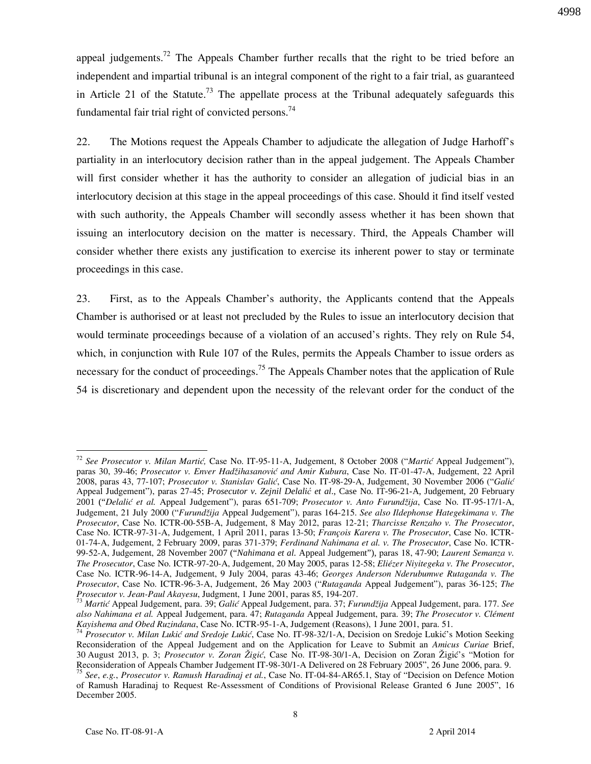appeal judgements.<sup>72</sup> The Appeals Chamber further recalls that the right to be tried before an independent and impartial tribunal is an integral component of the right to a fair trial, as guaranteed in Article 21 of the Statute.<sup>73</sup> The appellate process at the Tribunal adequately safeguards this fundamental fair trial right of convicted persons.<sup>74</sup>

22. The Motions request the Appeals Chamber to adjudicate the allegation of Judge Harhoff's partiality in an interlocutory decision rather than in the appeal judgement. The Appeals Chamber will first consider whether it has the authority to consider an allegation of judicial bias in an interlocutory decision at this stage in the appeal proceedings of this case. Should it find itself vested with such authority, the Appeals Chamber will secondly assess whether it has been shown that issuing an interlocutory decision on the matter is necessary. Third, the Appeals Chamber will consider whether there exists any justification to exercise its inherent power to stay or terminate proceedings in this case.

23. First, as to the Appeals Chamber's authority, the Applicants contend that the Appeals Chamber is authorised or at least not precluded by the Rules to issue an interlocutory decision that would terminate proceedings because of a violation of an accused's rights. They rely on Rule 54, which, in conjunction with Rule 107 of the Rules, permits the Appeals Chamber to issue orders as necessary for the conduct of proceedings.<sup>75</sup> The Appeals Chamber notes that the application of Rule 54 is discretionary and dependent upon the necessity of the relevant order for the conduct of the

<sup>&</sup>lt;sup>72</sup> See Prosecutor v. Milan Martić, Case No. IT-95-11-A, Judgement, 8 October 2008 ("Martić Appeal Judgement"), paras 30, 39-46; *Prosecutor v. Enver Hadžihasanović and Amir Kubura*, Case No. IT-01-47-A, Judgement, 22 April 2008, paras 43, 77-107; *Prosecutor v. Stanislav Gali}*, Case No. IT-98-29-A, Judgement, 30 November 2006 ("*Gali}*  Appeal Judgement"), paras 27-45; *Prosecutor v. Zejnil Delalić et al*., Case No. IT-96-21-A, Judgement, 20 February 2001 ("*Delali} et al.* Appeal Judgement"), paras 651-709; *Prosecutor v. Anto Furundžija*, Case No. IT-95-17/1-A, Judgement, 21 July 2000 ("*Furundžija* Appeal Judgement"), paras 164-215. *See also Ildephonse Hategekimana v. The Prosecutor*, Case No. ICTR-00-55B-A, Judgement, 8 May 2012, paras 12-21; *Tharcisse Renzaho v. The Prosecutor*, Case No. ICTR-97-31-A, Judgement, 1 April 2011, paras 13-50; *François Karera v. The Prosecutor*, Case No. ICTR-01-74-A, Judgement, 2 February 2009, paras 371-379; *Ferdinand Nahimana et al. v. The Prosecutor*, Case No. ICTR-99-52-A, Judgement, 28 November 2007 ("*Nahimana et al.* Appeal Judgement"), paras 18, 47-90; *Laurent Semanza v. The Prosecutor*, Case No. ICTR-97-20-A, Judgement, 20 May 2005, paras 12-58; *Eliézer Niyitegeka v. The Prosecutor*, Case No. ICTR-96-14-A, Judgement, 9 July 2004, paras 43-46; *Georges Anderson Nderubumwe Rutaganda v. The Prosecutor*, Case No. ICTR-96-3-A, Judgement, 26 May 2003 ("*Rutaganda* Appeal Judgement"), paras 36-125; *The Prosecutor v. Jean-Paul Akayesu*, Judgment, 1 June 2001, paras 85, 194-207.

<sup>73</sup> *Marti}* Appeal Judgement, para. 39; *Gali}* Appeal Judgement, para. 37; *Furundžija* Appeal Judgement, para. 177. *See also Nahimana et al.* Appeal Judgement, para. 47; *Rutaganda* Appeal Judgement, para. 39; *The Prosecutor v. Clément Kayishema and Obed Ruzindana*, Case No. ICTR-95-1-A, Judgement (Reasons), 1 June 2001, para. 51.

<sup>&</sup>lt;sup>74</sup> Prosecutor v. Milan Lukić and Sredoje Lukić, Case No. IT-98-32/1-A, Decision on Sredoje Lukić's Motion Seeking Reconsideration of the Appeal Judgement and on the Application for Leave to Submit an *Amicus Curiae* Brief, 30 August 2013, p. 3; *Prosecutor v. Zoran @igi}*, Case No. IT-98-30/1-A, Decision on Zoran @igi}'s "Motion for Reconsideration of Appeals Chamber Judgement IT-98-30/1-A Delivered on 28 February 2005", 26 June 2006, para. 9.

<sup>75</sup> *See*, *e.g.*, *Prosecutor v. Ramush Haradinaj et al.*, Case No. IT-04-84-AR65.1, Stay of "Decision on Defence Motion of Ramush Haradinaj to Request Re-Assessment of Conditions of Provisional Release Granted 6 June 2005", 16 December 2005.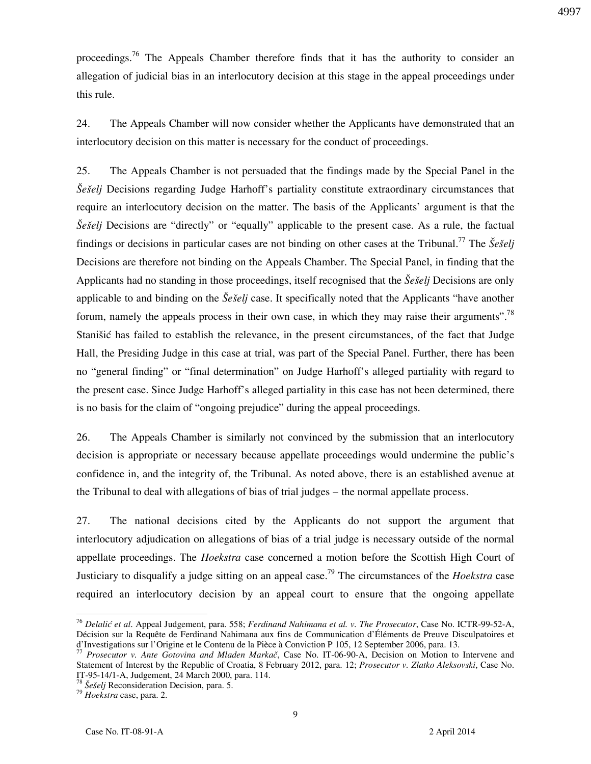proceedings.<sup>76</sup> The Appeals Chamber therefore finds that it has the authority to consider an allegation of judicial bias in an interlocutory decision at this stage in the appeal proceedings under this rule.

24. The Appeals Chamber will now consider whether the Applicants have demonstrated that an interlocutory decision on this matter is necessary for the conduct of proceedings.

25. The Appeals Chamber is not persuaded that the findings made by the Special Panel in the *Šešelj* Decisions regarding Judge Harhoff's partiality constitute extraordinary circumstances that require an interlocutory decision on the matter. The basis of the Applicants' argument is that the *Šešelj* Decisions are "directly" or "equally" applicable to the present case. As a rule, the factual findings or decisions in particular cases are not binding on other cases at the Tribunal.<sup>77</sup> The  $\check{S}e\check{s}eli$ Decisions are therefore not binding on the Appeals Chamber. The Special Panel, in finding that the Applicants had no standing in those proceedings, itself recognised that the *Še{elj* Decisions are only applicable to and binding on the *Šešelj* case. It specifically noted that the Applicants "have another" forum, namely the appeals process in their own case, in which they may raise their arguments".<sup>78</sup> Stanišić has failed to establish the relevance, in the present circumstances, of the fact that Judge Hall, the Presiding Judge in this case at trial, was part of the Special Panel. Further, there has been no "general finding" or "final determination" on Judge Harhoff's alleged partiality with regard to the present case. Since Judge Harhoff's alleged partiality in this case has not been determined, there is no basis for the claim of "ongoing prejudice" during the appeal proceedings.

26. The Appeals Chamber is similarly not convinced by the submission that an interlocutory decision is appropriate or necessary because appellate proceedings would undermine the public's confidence in, and the integrity of, the Tribunal. As noted above, there is an established avenue at the Tribunal to deal with allegations of bias of trial judges – the normal appellate process.

27. The national decisions cited by the Applicants do not support the argument that interlocutory adjudication on allegations of bias of a trial judge is necessary outside of the normal appellate proceedings. The *Hoekstra* case concerned a motion before the Scottish High Court of Justiciary to disqualify a judge sitting on an appeal case.<sup>79</sup> The circumstances of the *Hoekstra* case required an interlocutory decision by an appeal court to ensure that the ongoing appellate

<sup>76</sup> *Delali} et al*. Appeal Judgement, para. 558; *Ferdinand Nahimana et al. v. The Prosecutor*, Case No. ICTR-99-52-A, Décision sur la Requête de Ferdinand Nahimana aux fins de Communication d'Éléments de Preuve Disculpatoires et d'Investigations sur l'Origine et le Contenu de la Pièce à Conviction P 105, 12 September 2006, para. 13.

<sup>77</sup> *Prosecutor v. Ante Gotovina and Mladen Markač*, Case No. IT-06-90-A, Decision on Motion to Intervene and Statement of Interest by the Republic of Croatia, 8 February 2012, para. 12; *Prosecutor v. Zlatko Aleksovski*, Case No. IT-95-14/1-A, Judgement, 24 March 2000, para. 114.

<sup>&</sup>lt;sup>78</sup> Šešelj Reconsideration Decision, para. 5.

<sup>79</sup> *Hoekstra* case, para. 2.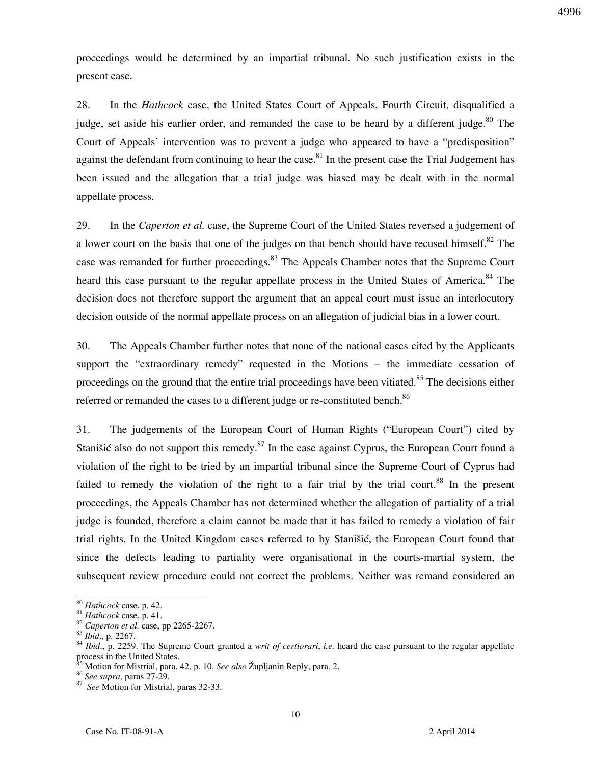proceedings would be determined by an impartial tribunal. No such justification exists in the present case.

28. In the *Hathcock* case, the United States Court of Appeals, Fourth Circuit, disqualified a judge, set aside his earlier order, and remanded the case to be heard by a different judge. $80$  The Court of Appeals' intervention was to prevent a judge who appeared to have a "predisposition" against the defendant from continuing to hear the case.<sup>81</sup> In the present case the Trial Judgement has been issued and the allegation that a trial judge was biased may be dealt with in the normal appellate process.

29. In the *Caperton et al.* case, the Supreme Court of the United States reversed a judgement of a lower court on the basis that one of the judges on that bench should have recused himself.<sup>82</sup> The case was remanded for further proceedings.<sup>83</sup> The Appeals Chamber notes that the Supreme Court heard this case pursuant to the regular appellate process in the United States of America.<sup>84</sup> The decision does not therefore support the argument that an appeal court must issue an interlocutory decision outside of the normal appellate process on an allegation of judicial bias in a lower court.

30. The Appeals Chamber further notes that none of the national cases cited by the Applicants support the "extraordinary remedy" requested in the Motions – the immediate cessation of proceedings on the ground that the entire trial proceedings have been vitiated.<sup>85</sup> The decisions either referred or remanded the cases to a different judge or re-constituted bench. $86$ 

31. The judgements of the European Court of Human Rights ("European Court") cited by Stanišić also do not support this remedy.<sup>87</sup> In the case against Cyprus, the European Court found a violation of the right to be tried by an impartial tribunal since the Supreme Court of Cyprus had failed to remedy the violation of the right to a fair trial by the trial court.<sup>88</sup> In the present proceedings, the Appeals Chamber has not determined whether the allegation of partiality of a trial judge is founded, therefore a claim cannot be made that it has failed to remedy a violation of fair trial rights. In the United Kingdom cases referred to by Stanistic, the European Court found that since the defects leading to partiality were organisational in the courts-martial system, the subsequent review procedure could not correct the problems. Neither was remand considered an

<sup>80</sup> *Hathcock* case, p. 42.

<sup>81</sup> *Hathcock* case, p. 41.

<sup>82</sup> *Caperton et al.* case, pp 2265-2267.

<sup>83</sup> *Ibid*., p. 2267.

<sup>84</sup> *Ibid*., p. 2259. The Supreme Court granted a *writ of certiorari*, *i.e.* heard the case pursuant to the regular appellate process in the United States.

<sup>85</sup> Motion for Mistrial, para. 42, p. 10. *See also* Župljanin Reply, para. 2.

<sup>86</sup> *See supra*, paras 27-29.

<sup>87</sup> *See* Motion for Mistrial, paras 32-33.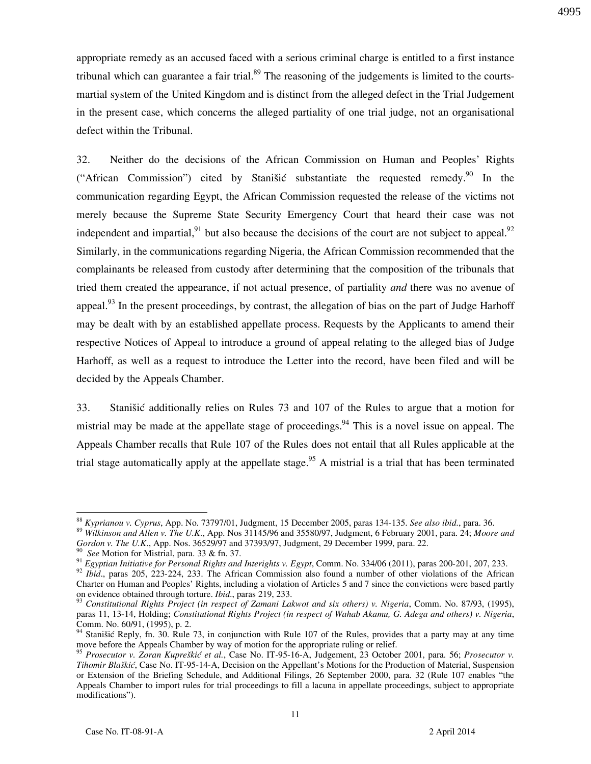appropriate remedy as an accused faced with a serious criminal charge is entitled to a first instance tribunal which can guarantee a fair trial.<sup>89</sup> The reasoning of the judgements is limited to the courtsmartial system of the United Kingdom and is distinct from the alleged defect in the Trial Judgement in the present case, which concerns the alleged partiality of one trial judge, not an organisational 4995

defect within the Tribunal.

32. Neither do the decisions of the African Commission on Human and Peoples' Rights ("African Commission") cited by Stanišić substantiate the requested remedy.<sup>90</sup> In the communication regarding Egypt, the African Commission requested the release of the victims not merely because the Supreme State Security Emergency Court that heard their case was not independent and impartial, <sup>91</sup> but also because the decisions of the court are not subject to appeal.<sup>92</sup> Similarly, in the communications regarding Nigeria, the African Commission recommended that the complainants be released from custody after determining that the composition of the tribunals that tried them created the appearance, if not actual presence, of partiality *and* there was no avenue of appeal.<sup>93</sup> In the present proceedings, by contrast, the allegation of bias on the part of Judge Harhoff may be dealt with by an established appellate process. Requests by the Applicants to amend their respective Notices of Appeal to introduce a ground of appeal relating to the alleged bias of Judge Harhoff, as well as a request to introduce the Letter into the record, have been filed and will be decided by the Appeals Chamber.

33. Stanišić additionally relies on Rules 73 and 107 of the Rules to argue that a motion for mistrial may be made at the appellate stage of proceedings.<sup>94</sup> This is a novel issue on appeal. The Appeals Chamber recalls that Rule 107 of the Rules does not entail that all Rules applicable at the trial stage automatically apply at the appellate stage.<sup>95</sup> A mistrial is a trial that has been terminated

 $\overline{a}$ <sup>88</sup> *Kyprianou v. Cyprus*, App. No. 73797/01, Judgment, 15 December 2005, paras 134-135. *See also ibid*., para. 36.

<sup>89</sup> *Wilkinson and Allen v. The U.K*., App. Nos 31145/96 and 35580/97, Judgment, 6 February 2001, para. 24; *Moore and Gordon v. The U.K*., App. Nos. 36529/97 and 37393/97, Judgment, 29 December 1999, para. 22.

See Motion for Mistrial, para. 33 & fn. 37.

<sup>91</sup> *Egyptian Initiative for Personal Rights and Interights v. Egypt*, Comm. No. 334/06 (2011), paras 200-201, 207, 233.

<sup>&</sup>lt;sup>92</sup> *Ibid.*, paras 205, 223-224, 233. The African Commission also found a number of other violations of the African Charter on Human and Peoples' Rights, including a violation of Articles 5 and 7 since the convictions were based partly on evidence obtained through torture. *Ibid*., paras 219, 233.

<sup>93</sup> *Constitutional Rights Project (in respect of Zamani Lakwot and six others) v. Nigeria*, Comm. No. 87/93, (1995), paras 11, 13-14, Holding; *Constitutional Rights Project (in respect of Wahab Akamu, G. Adega and others) v. Nigeria*, Comm. No. 60/91, (1995), p. 2.

<sup>&</sup>lt;sup>94</sup> Stanišić Reply, fn. 30. Rule 73, in conjunction with Rule 107 of the Rules, provides that a party may at any time move before the Appeals Chamber by way of motion for the appropriate ruling or relief.

<sup>95</sup> *Prosecutor v. Zoran Kupre{ki} et al.*, Case No. IT-95-16-A, Judgement, 23 October 2001, para. 56; *Prosecutor v. Tihomir Blaškić*, Case No. IT-95-14-A, Decision on the Appellant's Motions for the Production of Material, Suspension or Extension of the Briefing Schedule, and Additional Filings, 26 September 2000, para. 32 (Rule 107 enables "the Appeals Chamber to import rules for trial proceedings to fill a lacuna in appellate proceedings, subject to appropriate modifications").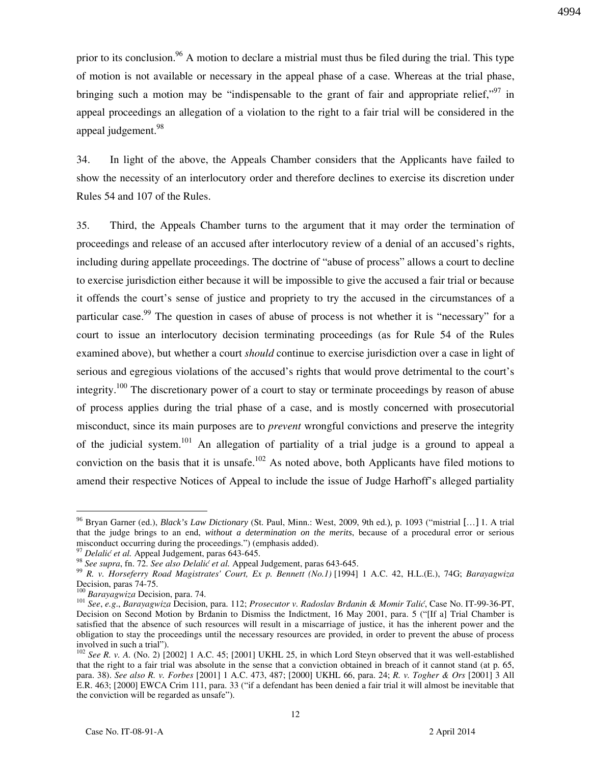prior to its conclusion.<sup>96</sup> A motion to declare a mistrial must thus be filed during the trial. This type of motion is not available or necessary in the appeal phase of a case. Whereas at the trial phase, bringing such a motion may be "indispensable to the grant of fair and appropriate relief."<sup>97</sup> in appeal proceedings an allegation of a violation to the right to a fair trial will be considered in the appeal judgement.<sup>98</sup>

34. In light of the above, the Appeals Chamber considers that the Applicants have failed to show the necessity of an interlocutory order and therefore declines to exercise its discretion under Rules 54 and 107 of the Rules.

35. Third, the Appeals Chamber turns to the argument that it may order the termination of proceedings and release of an accused after interlocutory review of a denial of an accused's rights, including during appellate proceedings. The doctrine of "abuse of process" allows a court to decline to exercise jurisdiction either because it will be impossible to give the accused a fair trial or because it offends the court's sense of justice and propriety to try the accused in the circumstances of a particular case.<sup>99</sup> The question in cases of abuse of process is not whether it is "necessary" for a court to issue an interlocutory decision terminating proceedings (as for Rule 54 of the Rules examined above), but whether a court *should* continue to exercise jurisdiction over a case in light of serious and egregious violations of the accused's rights that would prove detrimental to the court's integrity.<sup>100</sup> The discretionary power of a court to stay or terminate proceedings by reason of abuse of process applies during the trial phase of a case, and is mostly concerned with prosecutorial misconduct, since its main purposes are to *prevent* wrongful convictions and preserve the integrity of the judicial system.<sup>101</sup> An allegation of partiality of a trial judge is a ground to appeal a conviction on the basis that it is unsafe.<sup>102</sup> As noted above, both Applicants have filed motions to amend their respective Notices of Appeal to include the issue of Judge Harhoff's alleged partiality

 $\overline{a}$ 

4994

<sup>96</sup> Bryan Garner (ed.), *Black's Law Dictionary* (St. Paul, Minn.: West, 2009, 9th ed.), p. 1093 ("mistrial […] 1. A trial that the judge brings to an end, *without a determination on the merits*, because of a procedural error or serious misconduct occurring during the proceedings.") (emphasis added).

 $\frac{9}{7}$  *Delalić et al.* Appeal Judgement, paras 643-645.

<sup>98</sup> *See supra*, fn. 72. *See also Delali} et al.* Appeal Judgement, paras 643-645.

<sup>&</sup>lt;sup>99</sup> R. v. Horseferry Road Magistrates' Court, Ex p. Bennett (No.1)<sup>[1994]</sup> 1 A.C. 42, H.L.(E.), 74G; *Barayagwiza* Decision, paras 74-75.

<sup>100</sup> *Barayagwiza* Decision, para. 74.

<sup>101</sup> *See*, *e.g*., *Barayagwiza* Decision, para. 112; *Prosecutor v. Radoslav Brđanin & Momir Talić*, Case No. IT-99-36-PT, Decision on Second Motion by Brdanin to Dismiss the Indictment, 16 May 2001, para. 5 ("[If a] Trial Chamber is satisfied that the absence of such resources will result in a miscarriage of justice, it has the inherent power and the obligation to stay the proceedings until the necessary resources are provided, in order to prevent the abuse of process involved in such a trial").

 $\frac{102}{102}$  *See R. v. A.* (No. 2)  $\left[2002\right]$  1 A.C. 45;  $\left[2001\right]$  UKHL 25, in which Lord Steyn observed that it was well-established that the right to a fair trial was absolute in the sense that a conviction obtained in breach of it cannot stand (at p. 65, para. 38). *See also R. v. Forbes* [2001] 1 A.C. 473, 487; [2000] UKHL 66, para. 24; *R. v. Togher & Ors* [2001] 3 All E.R. 463; [2000] EWCA Crim 111, para. 33 ("if a defendant has been denied a fair trial it will almost be inevitable that the conviction will be regarded as unsafe").